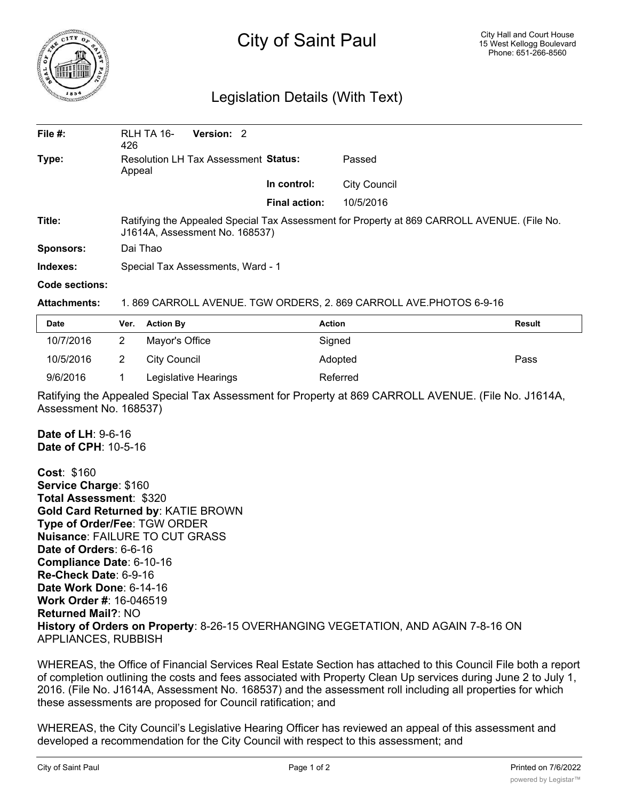

## City of Saint Paul

## Legislation Details (With Text)

| File $#$ : | Version: 2<br>RLH TA 16-<br>426                                                                                               |                      |                     |  |
|------------|-------------------------------------------------------------------------------------------------------------------------------|----------------------|---------------------|--|
| Type:      | Resolution LH Tax Assessment Status:<br>Appeal                                                                                |                      | Passed              |  |
|            |                                                                                                                               | In control:          | <b>City Council</b> |  |
|            |                                                                                                                               | <b>Final action:</b> | 10/5/2016           |  |
| Title:     | Ratifying the Appealed Special Tax Assessment for Property at 869 CARROLL AVENUE. (File No.<br>J1614A, Assessment No. 168537) |                      |                     |  |
| Sponsors:  | Dai Thao                                                                                                                      |                      |                     |  |
| Indexes:   | Special Tax Assessments, Ward - 1                                                                                             |                      |                     |  |

## **Code sections:**

## **Attachments:** 1. 869 CARROLL AVENUE. TGW ORDERS, 2. 869 CARROLL AVE.PHOTOS 6-9-16

| <b>Date</b> | Ver. | <b>Action By</b>     | <b>Action</b> | <b>Result</b> |
|-------------|------|----------------------|---------------|---------------|
| 10/7/2016   |      | Mayor's Office       | Signed        |               |
| 10/5/2016   |      | City Council         | Adopted       | Pass          |
| 9/6/2016    |      | Legislative Hearings | Referred      |               |

Ratifying the Appealed Special Tax Assessment for Property at 869 CARROLL AVENUE. (File No. J1614A, Assessment No. 168537)

**Date of LH**: 9-6-16 **Date of CPH**: 10-5-16

**Cost**: \$160 **Service Charge**: \$160 **Total Assessment**: \$320 **Gold Card Returned by**: KATIE BROWN **Type of Order/Fee**: TGW ORDER **Nuisance**: FAILURE TO CUT GRASS **Date of Orders**: 6-6-16 **Compliance Date**: 6-10-16 **Re-Check Date**: 6-9-16 **Date Work Done**: 6-14-16 **Work Order #**: 16-046519 **Returned Mail?**: NO **History of Orders on Property**: 8-26-15 OVERHANGING VEGETATION, AND AGAIN 7-8-16 ON APPLIANCES, RUBBISH

WHEREAS, the Office of Financial Services Real Estate Section has attached to this Council File both a report of completion outlining the costs and fees associated with Property Clean Up services during June 2 to July 1, 2016. (File No. J1614A, Assessment No. 168537) and the assessment roll including all properties for which these assessments are proposed for Council ratification; and

WHEREAS, the City Council's Legislative Hearing Officer has reviewed an appeal of this assessment and developed a recommendation for the City Council with respect to this assessment; and